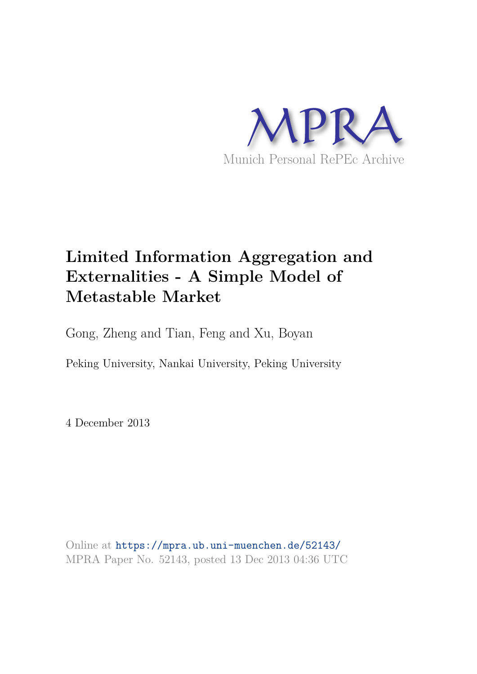

# **Limited Information Aggregation and Externalities - A Simple Model of Metastable Market**

Gong, Zheng and Tian, Feng and Xu, Boyan

Peking University, Nankai University, Peking University

4 December 2013

Online at https://mpra.ub.uni-muenchen.de/52143/ MPRA Paper No. 52143, posted 13 Dec 2013 04:36 UTC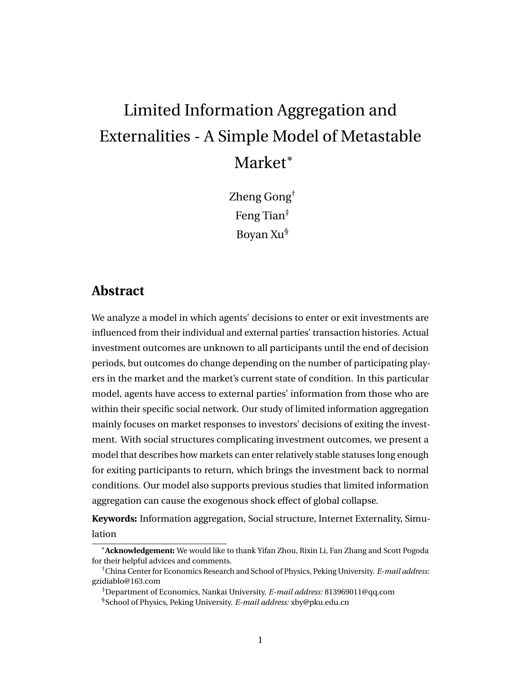# Limited Information Aggregation and Externalities - A Simple Model of Metastable Market<sup>\*</sup>

Zheng Gong† Feng Tian‡ Boyan Xu§

### **Abstract**

We analyze a model in which agents' decisions to enter or exit investments are influenced from their individual and external parties' transaction histories. Actual investment outcomes are unknown to all participants until the end of decision periods, but outcomes do change depending on the number of participating players in the market and the market's current state of condition. In this particular model, agents have access to external parties' information from those who are within their specific social network. Our study of limited information aggregation mainly focuses on market responses to investors' decisions of exiting the investment. With social structures complicating investment outcomes, we present a model that describes how markets can enter relatively stable statuses long enough for exiting participants to return, which brings the investment back to normal conditions. Our model also supports previous studies that limited information aggregation can cause the exogenous shock effect of global collapse.

**Keywords:** Information aggregation, Social structure, Internet Externality, Simulation

<sup>∗</sup>**Acknowledgement:** We would like to thank Yifan Zhou, Rixin Li, Fan Zhang and Scott Pogoda for their helpful advices and comments.

<sup>†</sup>China Center for Economics Research and School of Physics, Peking University. *E-mail address:* gzidiablo@163.com

<sup>‡</sup>Department of Economics, Nankai University. *E-mail address:* 813969011@qq.com §School of Physics, Peking University. *E-mail address:* xby@pku.edu.cn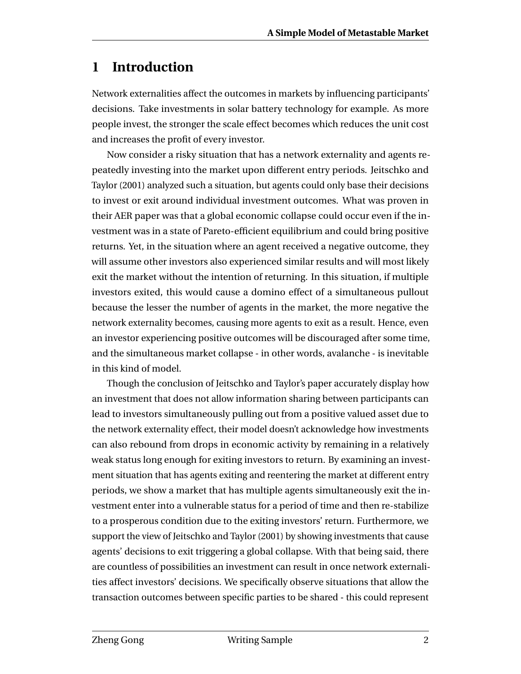# **1 Introduction**

Network externalities affect the outcomes in markets by influencing participants' decisions. Take investments in solar battery technology for example. As more people invest, the stronger the scale effect becomes which reduces the unit cost and increases the profit of every investor.

Now consider a risky situation that has a network externality and agents repeatedly investing into the market upon different entry periods. Jeitschko and Taylor (2001) analyzed such a situation, but agents could only base their decisions to invest or exit around individual investment outcomes. What was proven in their AER paper was that a global economic collapse could occur even if the investment was in a state of Pareto-efficient equilibrium and could bring positive returns. Yet, in the situation where an agent received a negative outcome, they will assume other investors also experienced similar results and will most likely exit the market without the intention of returning. In this situation, if multiple investors exited, this would cause a domino effect of a simultaneous pullout because the lesser the number of agents in the market, the more negative the network externality becomes, causing more agents to exit as a result. Hence, even an investor experiencing positive outcomes will be discouraged after some time, and the simultaneous market collapse - in other words, avalanche - is inevitable in this kind of model.

Though the conclusion of Jeitschko and Taylor's paper accurately display how an investment that does not allow information sharing between participants can lead to investors simultaneously pulling out from a positive valued asset due to the network externality effect, their model doesn't acknowledge how investments can also rebound from drops in economic activity by remaining in a relatively weak status long enough for exiting investors to return. By examining an investment situation that has agents exiting and reentering the market at different entry periods, we show a market that has multiple agents simultaneously exit the investment enter into a vulnerable status for a period of time and then re-stabilize to a prosperous condition due to the exiting investors' return. Furthermore, we support the view of Jeitschko and Taylor (2001) by showing investments that cause agents' decisions to exit triggering a global collapse. With that being said, there are countless of possibilities an investment can result in once network externalities affect investors' decisions. We specifically observe situations that allow the transaction outcomes between specific parties to be shared - this could represent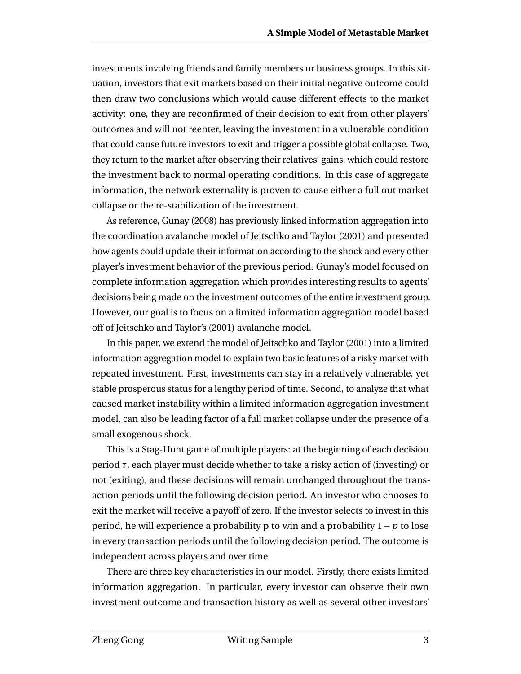investments involving friends and family members or business groups. In this situation, investors that exit markets based on their initial negative outcome could then draw two conclusions which would cause different effects to the market activity: one, they are reconfirmed of their decision to exit from other players' outcomes and will not reenter, leaving the investment in a vulnerable condition that could cause future investors to exit and trigger a possible global collapse. Two, they return to the market after observing their relatives' gains, which could restore the investment back to normal operating conditions. In this case of aggregate information, the network externality is proven to cause either a full out market collapse or the re-stabilization of the investment.

As reference, Gunay (2008) has previously linked information aggregation into the coordination avalanche model of Jeitschko and Taylor (2001) and presented how agents could update their information according to the shock and every other player's investment behavior of the previous period. Gunay's model focused on complete information aggregation which provides interesting results to agents' decisions being made on the investment outcomes of the entire investment group. However, our goal is to focus on a limited information aggregation model based off of Jeitschko and Taylor's (2001) avalanche model.

In this paper, we extend the model of Jeitschko and Taylor (2001) into a limited information aggregation model to explain two basic features of a risky market with repeated investment. First, investments can stay in a relatively vulnerable, yet stable prosperous status for a lengthy period of time. Second, to analyze that what caused market instability within a limited information aggregation investment model, can also be leading factor of a full market collapse under the presence of a small exogenous shock.

This is a Stag-Hunt game of multiple players: at the beginning of each decision period *τ*, each player must decide whether to take a risky action of (investing) or not (exiting), and these decisions will remain unchanged throughout the transaction periods until the following decision period. An investor who chooses to exit the market will receive a payoff of zero. If the investor selects to invest in this period, he will experience a probability p to win and a probability 1− *p* to lose in every transaction periods until the following decision period. The outcome is independent across players and over time.

There are three key characteristics in our model. Firstly, there exists limited information aggregation. In particular, every investor can observe their own investment outcome and transaction history as well as several other investors'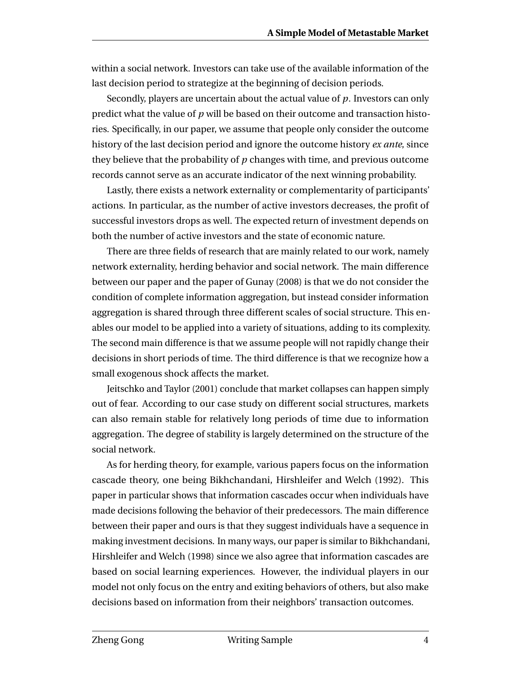within a social network. Investors can take use of the available information of the last decision period to strategize at the beginning of decision periods.

Secondly, players are uncertain about the actual value of *p*. Investors can only predict what the value of *p* will be based on their outcome and transaction histories. Specifically, in our paper, we assume that people only consider the outcome history of the last decision period and ignore the outcome history *ex ante*, since they believe that the probability of *p* changes with time, and previous outcome records cannot serve as an accurate indicator of the next winning probability.

Lastly, there exists a network externality or complementarity of participants' actions. In particular, as the number of active investors decreases, the profit of successful investors drops as well. The expected return of investment depends on both the number of active investors and the state of economic nature.

There are three fields of research that are mainly related to our work, namely network externality, herding behavior and social network. The main difference between our paper and the paper of Gunay (2008) is that we do not consider the condition of complete information aggregation, but instead consider information aggregation is shared through three different scales of social structure. This enables our model to be applied into a variety of situations, adding to its complexity. The second main difference is that we assume people will not rapidly change their decisions in short periods of time. The third difference is that we recognize how a small exogenous shock affects the market.

Jeitschko and Taylor (2001) conclude that market collapses can happen simply out of fear. According to our case study on different social structures, markets can also remain stable for relatively long periods of time due to information aggregation. The degree of stability is largely determined on the structure of the social network.

As for herding theory, for example, various papers focus on the information cascade theory, one being Bikhchandani, Hirshleifer and Welch (1992). This paper in particular shows that information cascades occur when individuals have made decisions following the behavior of their predecessors. The main difference between their paper and ours is that they suggest individuals have a sequence in making investment decisions. In many ways, our paper is similar to Bikhchandani, Hirshleifer and Welch (1998) since we also agree that information cascades are based on social learning experiences. However, the individual players in our model not only focus on the entry and exiting behaviors of others, but also make decisions based on information from their neighbors' transaction outcomes.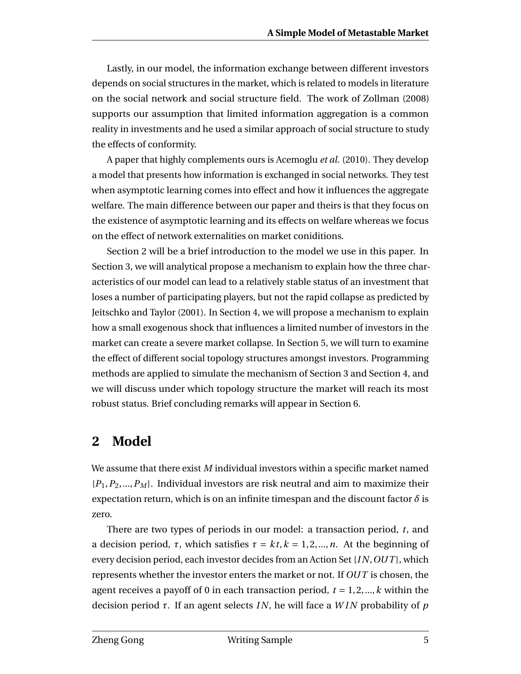Lastly, in our model, the information exchange between different investors depends on social structures in the market, which is related to models in literature on the social network and social structure field. The work of Zollman (2008) supports our assumption that limited information aggregation is a common reality in investments and he used a similar approach of social structure to study the effects of conformity.

A paper that highly complements ours is Acemoglu *et al.* (2010). They develop a model that presents how information is exchanged in social networks. They test when asymptotic learning comes into effect and how it influences the aggregate welfare. The main difference between our paper and theirs is that they focus on the existence of asymptotic learning and its effects on welfare whereas we focus on the effect of network externalities on market coniditions.

Section 2 will be a brief introduction to the model we use in this paper. In Section 3, we will analytical propose a mechanism to explain how the three characteristics of our model can lead to a relatively stable status of an investment that loses a number of participating players, but not the rapid collapse as predicted by Jeitschko and Taylor (2001). In Section 4, we will propose a mechanism to explain how a small exogenous shock that influences a limited number of investors in the market can create a severe market collapse. In Section 5, we will turn to examine the effect of different social topology structures amongst investors. Programming methods are applied to simulate the mechanism of Section 3 and Section 4, and we will discuss under which topology structure the market will reach its most robust status. Brief concluding remarks will appear in Section 6.

### **2 Model**

We assume that there exist *M* individual investors within a specific market named {*P*1,*P*2,...,*P<sup>M</sup>* }. Individual investors are risk neutral and aim to maximize their expectation return, which is on an infinite timespan and the discount factor  $\delta$  is zero.

There are two types of periods in our model: a transaction period, *t*, and a decision period,  $\tau$ , which satisfies  $\tau = kt, k = 1, 2, ..., n$ . At the beginning of every decision period, each investor decides from an Action Set {*I N*,*OUT* }, which represents whether the investor enters the market or not. If *OUT* is chosen, the agent receives a payoff of 0 in each transaction period,  $t = 1, 2, \dots, k$  within the decision period *τ*. If an agent selects *I N*, he will face a *W I N* probability of *p*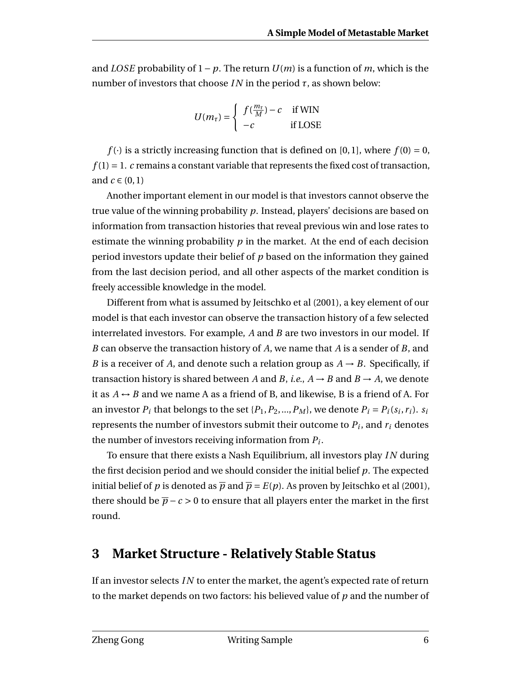and *LOSE* probability of  $1-p$ . The return  $U(m)$  is a function of m, which is the number of investors that choose *IN* in the period  $\tau$ , as shown below:

$$
U(m_{\tau}) = \begin{cases} f(\frac{m_{\tau}}{M}) - c & \text{if WIN} \\ -c & \text{if LOSE} \end{cases}
$$

*f* (·) is a strictly increasing function that is defined on [0,1], where  $f(0) = 0$ ,  $f(1) = 1$ . *c* remains a constant variable that represents the fixed cost of transaction, and  $c \in (0,1)$ 

Another important element in our model is that investors cannot observe the true value of the winning probability *p*. Instead, players' decisions are based on information from transaction histories that reveal previous win and lose rates to estimate the winning probability *p* in the market. At the end of each decision period investors update their belief of *p* based on the information they gained from the last decision period, and all other aspects of the market condition is freely accessible knowledge in the model.

Different from what is assumed by Jeitschko et al (2001), a key element of our model is that each investor can observe the transaction history of a few selected interrelated investors. For example, *A* and *B* are two investors in our model. If *B* can observe the transaction history of *A*, we name that *A* is a sender of *B*, and *B* is a receiver of *A*, and denote such a relation group as  $A \rightarrow B$ . Specifically, if transaction history is shared between *A* and *B*, *i.e.*,  $A \rightarrow B$  and  $B \rightarrow A$ , we denote it as  $A \rightarrow B$  and we name A as a friend of B, and likewise, B is a friend of A. For an investor  $P_i$  that belongs to the set  $\{P_1, P_2, ..., P_M\}$ , we denote  $P_i = P_i(s_i, r_i)$ .  $s_i$ represents the number of investors submit their outcome to *P<sup>i</sup>* , and *r<sup>i</sup>* denotes the number of investors receiving information from *P<sup>i</sup>* .

To ensure that there exists a Nash Equilibrium, all investors play *I N* during the first decision period and we should consider the initial belief *p*. The expected initial belief of *p* is denoted as  $\overline{p}$  and  $\overline{p} = E(p)$ . As proven by Jeitschko et al (2001), there should be  $\bar{p}$  − *c* > 0 to ensure that all players enter the market in the first round.

### **3 Market Structure - Relatively Stable Status**

If an investor selects *I N* to enter the market, the agent's expected rate of return to the market depends on two factors: his believed value of *p* and the number of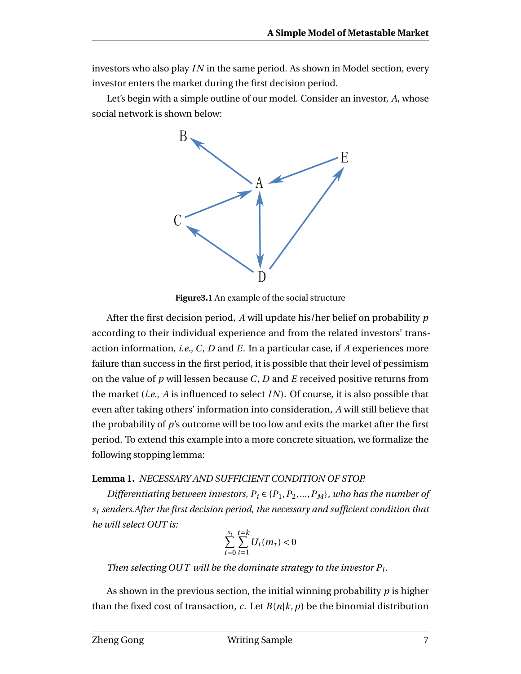investors who also play *I N* in the same period. As shown in Model section, every investor enters the market during the first decision period.

Let's begin with a simple outline of our model. Consider an investor, *A*, whose social network is shown below:



**Figure3.1** An example of the social structure

After the first decision period, *A* will update his/her belief on probability *p* according to their individual experience and from the related investors' transaction information, *i.e.*, *C*, *D* and *E*. In a particular case, if *A* experiences more failure than success in the first period, it is possible that their level of pessimism on the value of *p* will lessen because *C*, *D* and *E* received positive returns from the market (*i.e.*, *A* is influenced to select *I N*). Of course, it is also possible that even after taking others' information into consideration, *A* will still believe that the probability of *p*'s outcome will be too low and exits the market after the first period. To extend this example into a more concrete situation, we formalize the following stopping lemma:

#### **Lemma 1.** *NECESSARY AND SUFFICIENT CONDITION OF STOP.*

*Differentiating between investors,*  $P_i \in \{P_1, P_2, ..., P_M\}$ *, who has the number of s<sup>i</sup> senders.After the first decision period, the necessary and sufficient condition that he will select OUT is:*

$$
\sum_{i=0}^{s_i} \sum_{t=1}^{t=k} U_t(m_\tau) < 0
$$

*Then selecting OUT will be the dominate strategy to the investor*  $P_i$ *.* 

As shown in the previous section, the initial winning probability *p* is higher than the fixed cost of transaction, *c*. Let  $B(n|k, p)$  be the binomial distribution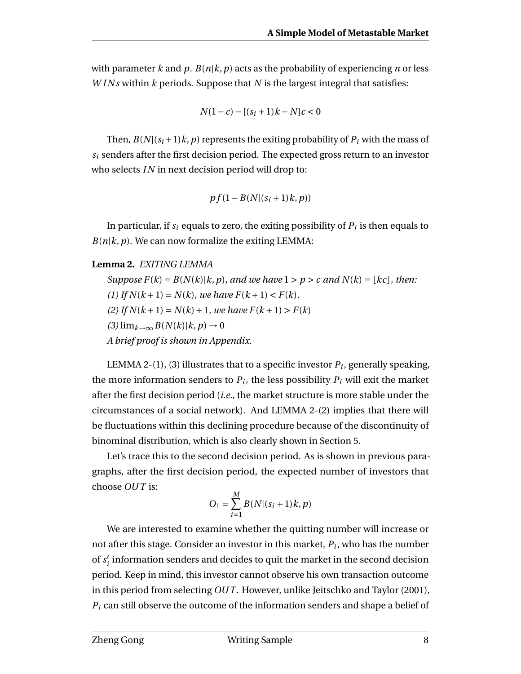with parameter *k* and *p*.  $B(n|k, p)$  acts as the probability of experiencing *n* or less *WINs* within *k* periods. Suppose that *N* is the largest integral that satisfies:

$$
N(1-c)-[(s_i+1)k-N]c<0
$$

Then,  $B(N|(s_i+1)k, p)$  represents the exiting probability of  $P_i$  with the mass of  $s_i$  senders after the first decision period. The expected gross return to an investor who selects *IN* in next decision period will drop to:

$$
pf(1-B(N|(s_i+1)k,p))
$$

In particular, if  $s_i$  equals to zero, the exiting possibility of  $P_i$  is then equals to  $B(n|k, p)$ . We can now formalize the exiting LEMMA:

#### **Lemma 2.** *EXITING LEMMA*

*Suppose*  $F(k) = B(N(k)|k, p)$ *, and we have*  $1 > p > c$  *and*  $N(k) = [kc]$ *, then:* (1) If  $N(k + 1) = N(k)$ *, we have*  $F(k + 1) < F(k)$ *.* (2) If  $N(k+1) = N(k) + 1$ *, we have*  $F(k+1) > F(k)$  $(3)$  lim<sub>*k*→∞</sub>  $B(N(k)|k, p)$  → 0 *A brief proof is shown in Appendix.*

LEMMA 2-(1), (3) illustrates that to a specific investor  $P_i$ , generally speaking, the more information senders to  $P_i$ , the less possibility  $P_i$  will exit the market after the first decision period (*i.e.*, the market structure is more stable under the circumstances of a social network). And LEMMA 2-(2) implies that there will be fluctuations within this declining procedure because of the discontinuity of binominal distribution, which is also clearly shown in Section 5.

Let's trace this to the second decision period. As is shown in previous paragraphs, after the first decision period, the expected number of investors that choose *OUT* is:

$$
O_1 = \sum_{i=1}^{M} B(N|(s_i + 1)k, p)
$$

We are interested to examine whether the quitting number will increase or not after this stage. Consider an investor in this market, *P<sup>i</sup>* , who has the number of  $s_i'$  $\boldsymbol{q}_i'$  information senders and decides to quit the market in the second decision period. Keep in mind, this investor cannot observe his own transaction outcome in this period from selecting *OUT* . However, unlike Jeitschko and Taylor (2001), *P<sup>i</sup>* can still observe the outcome of the information senders and shape a belief of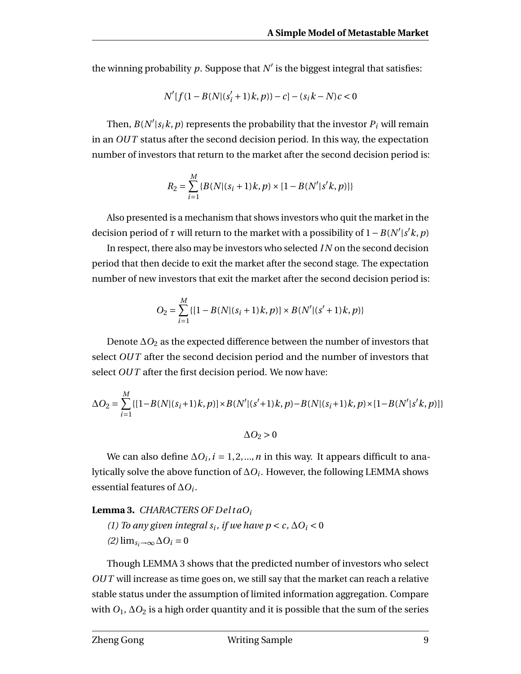the winning probability  $p$ . Suppose that  $N'$  is the biggest integral that satisfies:

$$
N'[f(1 - B(N|(s'_{i} + 1)k, p)) - c] - (s_{i}k - N)c < 0
$$

Then,  $B(N'|s_i k, p)$  represents the probability that the investor  $P_i$  will remain in an *OUT* status after the second decision period. In this way, the expectation number of investors that return to the market after the second decision period is:

$$
R_2 = \sum_{i=1}^{M} \{B(N|(s_i+1)k, p) \times [1 - B(N'|s'k, p)]\}
$$

Also presented is a mechanism that shows investors who quit the market in the decision period of  $\tau$  will return to the market with a possibility of  $1 - B(N'|s'k, p)$ 

In respect, there also may be investors who selected *I N* on the second decision period that then decide to exit the market after the second stage. The expectation number of new investors that exit the market after the second decision period is:

$$
O_2 = \sum_{i=1}^{M} \{ [1 - B(N| (s_i + 1)k, p)] \times B(N'| (s' + 1)k, p) \}
$$

Denote ∆*O*<sup>2</sup> as the expected difference between the number of investors that select *OUT* after the second decision period and the number of investors that select *OUT* after the first decision period. We now have:

$$
\Delta O_2 = \sum_{i=1}^{M} \{ [1 - B(N| (s_i + 1)k, p)] \times B(N'| (s' + 1)k, p) - B(N| (s_i + 1)k, p) \times [1 - B(N'| s'k, p)] \}
$$

 $\Delta$ *O*<sub>2</sub> > 0

We can also define ∆ $O_i$ ,  $i = 1, 2, ..., n$  in this way. It appears difficult to analytically solve the above function of ∆*O<sup>i</sup>* . However, the following LEMMA shows essential features of ∆*O<sup>i</sup>* .

#### **Lemma 3.** *CHARACTERS OF Del t aO<sup>i</sup>*

*(1)* To any given integral  $s_i$ , if we have  $p < c$ ,  $\Delta O_i < 0$  $(2)$  lim<sub>*si*→∞</sub>  $\Delta O$ *i* = 0

Though LEMMA 3 shows that the predicted number of investors who select *OUT* will increase as time goes on, we still say that the market can reach a relative stable status under the assumption of limited information aggregation. Compare with  $O_1$ ,  $\Delta O_2$  is a high order quantity and it is possible that the sum of the series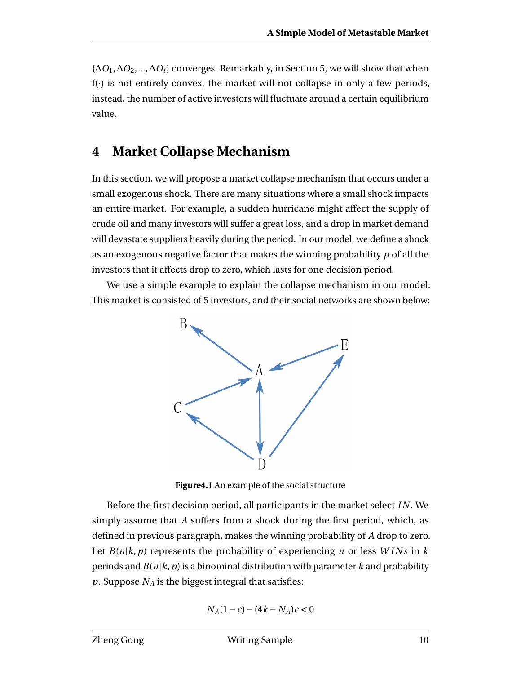{∆*O*1,∆*O*2,...,∆*Oi*} converges. Remarkably, in Section 5, we will show that when  $f(\cdot)$  is not entirely convex, the market will not collapse in only a few periods, instead, the number of active investors will fluctuate around a certain equilibrium value.

### **4 Market Collapse Mechanism**

In this section, we will propose a market collapse mechanism that occurs under a small exogenous shock. There are many situations where a small shock impacts an entire market. For example, a sudden hurricane might affect the supply of crude oil and many investors will suffer a great loss, and a drop in market demand will devastate suppliers heavily during the period. In our model, we define a shock as an exogenous negative factor that makes the winning probability *p* of all the investors that it affects drop to zero, which lasts for one decision period.

We use a simple example to explain the collapse mechanism in our model. This market is consisted of 5 investors, and their social networks are shown below:



**Figure4.1** An example of the social structure

Before the first decision period, all participants in the market select *I N*. We simply assume that *A* suffers from a shock during the first period, which, as defined in previous paragraph, makes the winning probability of *A* drop to zero. Let  $B(n|k, p)$  represents the probability of experiencing *n* or less *WINs* in *k* periods and  $B(n|k, p)$  is a binominal distribution with parameter k and probability *p*. Suppose *N<sup>A</sup>* is the biggest integral that satisfies:

$$
N_A(1 - c) - (4k - N_A)c < 0
$$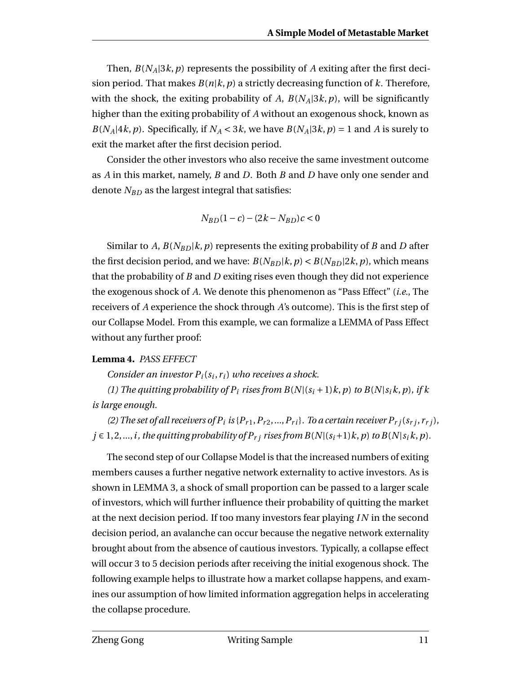Then,  $B(N_A|3k, p)$  represents the possibility of *A* exiting after the first decision period. That makes  $B(n|k, p)$  a strictly decreasing function of k. Therefore, with the shock, the exiting probability of A,  $B(N_A|3k, p)$ , will be significantly higher than the exiting probability of *A* without an exogenous shock, known as *B*(*N*<sub>*A*</sub>|4*k*, *p*). Specifically, if  $N_A < 3k$ , we have  $B(N_A|3k, p) = 1$  and *A* is surely to exit the market after the first decision period.

Consider the other investors who also receive the same investment outcome as *A* in this market, namely, *B* and *D*. Both *B* and *D* have only one sender and denote *NBD* as the largest integral that satisfies:

$$
N_{BD}(1-c) - (2k - N_{BD})c < 0
$$

Similar to *A*,  $B(N_{BD}|k, p)$  represents the exiting probability of *B* and *D* after the first decision period, and we have:  $B(N_{BD}|k, p) < B(N_{BD}|2k, p)$ , which means that the probability of *B* and *D* exiting rises even though they did not experience the exogenous shock of *A*. We denote this phenomenon as "Pass Effect" (*i.e.*, The receivers of *A* experience the shock through *A*'s outcome). This is the first step of our Collapse Model. From this example, we can formalize a LEMMA of Pass Effect without any further proof:

#### **Lemma 4.** *PASS EFFECT*

*Consider an investor Pi*(*s<sup>i</sup>* , *ri*) *who receives a shock.*

*(1) The quitting probability of*  $P_i$  *rises from*  $B(N|(s_i+1)k, p)$  *to*  $B(N|s_i k, p)$ *, if k is large enough.*

(2) The set of all receivers of  $P_i$  is { $P_{r1}, P_{r2},..., P_{ri}$ }. To a certain receiver  $P_{rj}(s_{rj}, r_{rj})$ , *j* ∈ 1, 2, ..., *i*, *the quitting probability of*  $P_{r}$ *j rises from*  $B(N|(s_i+1)k, p)$  *to*  $B(N|s_i k, p)$ *.* 

The second step of our Collapse Model is that the increased numbers of exiting members causes a further negative network externality to active investors. As is shown in LEMMA 3, a shock of small proportion can be passed to a larger scale of investors, which will further influence their probability of quitting the market at the next decision period. If too many investors fear playing *I N* in the second decision period, an avalanche can occur because the negative network externality brought about from the absence of cautious investors. Typically, a collapse effect will occur 3 to 5 decision periods after receiving the initial exogenous shock. The following example helps to illustrate how a market collapse happens, and examines our assumption of how limited information aggregation helps in accelerating the collapse procedure.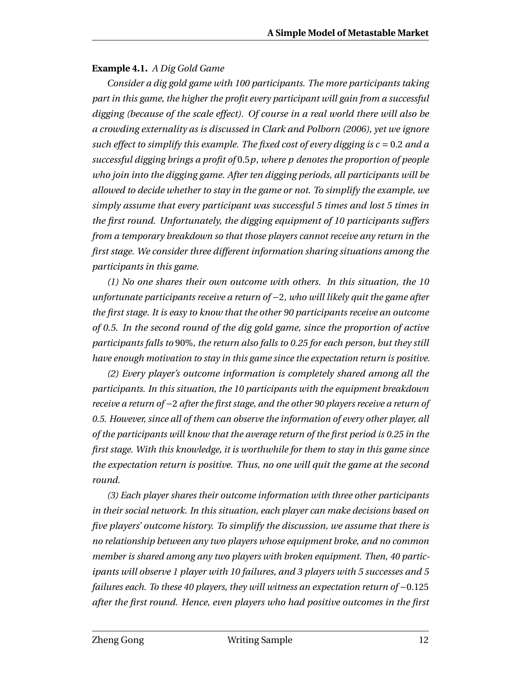#### **Example 4.1.** *A Dig Gold Game*

*Consider a dig gold game with 100 participants. The more participants taking part in this game, the higher the profit every participant will gain from a successful digging (because of the scale effect). Of course in a real world there will also be a crowding externality as is discussed in Clark and Polborn (2006), yet we ignore such effect to simplify this example. The fixed cost of every digging is*  $c = 0.2$  *and a successful digging brings a profit of* 0.5*p, where p denotes the proportion of people who join into the digging game. After ten digging periods, all participants will be allowed to decide whether to stay in the game or not. To simplify the example, we simply assume that every participant was successful 5 times and lost 5 times in the first round. Unfortunately, the digging equipment of 10 participants suffers from a temporary breakdown so that those players cannot receive any return in the first stage. We consider three different information sharing situations among the participants in this game.*

*(1) No one shares their own outcome with others. In this situation, the 10 unfortunate participants receive a return of* −2*, who will likely quit the game after the first stage. It is easy to know that the other 90 participants receive an outcome of 0.5. In the second round of the dig gold game, since the proportion of active participants falls to* 90%*, the return also falls to 0.25 for each person, but they still have enough motivation to stay in this game since the expectation return is positive.*

*(2) Every player's outcome information is completely shared among all the participants. In this situation, the 10 participants with the equipment breakdown receive a return of* −2 *after the first stage, and the other 90 players receive a return of 0.5. However, since all of them can observe the information of every other player, all of the participants will know that the average return of the first period is 0.25 in the first stage. With this knowledge, it is worthwhile for them to stay in this game since the expectation return is positive. Thus, no one will quit the game at the second round.*

*(3) Each player shares their outcome information with three other participants in their social network. In this situation, each player can make decisions based on five players' outcome history. To simplify the discussion, we assume that there is no relationship between any two players whose equipment broke, and no common member is shared among any two players with broken equipment. Then, 40 participants will observe 1 player with 10 failures, and 3 players with 5 successes and 5 failures each. To these 40 players, they will witness an expectation return of* −0.125 *after the first round. Hence, even players who had positive outcomes in the first*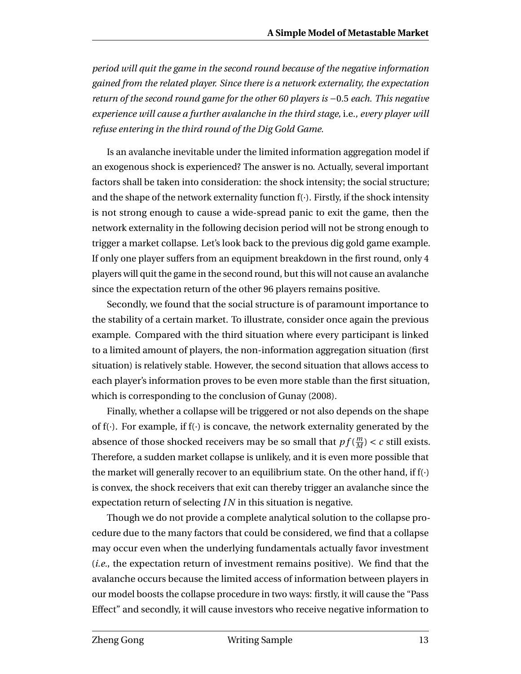*period will quit the game in the second round because of the negative information gained from the related player. Since there is a network externality, the expectation return of the second round game for the other 60 players is* −0.5 *each. This negative experience will cause a further avalanche in the third stage,* i.e.*, every player will refuse entering in the third round of the Dig Gold Game.*

Is an avalanche inevitable under the limited information aggregation model if an exogenous shock is experienced? The answer is no. Actually, several important factors shall be taken into consideration: the shock intensity; the social structure; and the shape of the network externality function  $f(\cdot)$ . Firstly, if the shock intensity is not strong enough to cause a wide-spread panic to exit the game, then the network externality in the following decision period will not be strong enough to trigger a market collapse. Let's look back to the previous dig gold game example. If only one player suffers from an equipment breakdown in the first round, only 4 players will quit the game in the second round, but this will not cause an avalanche since the expectation return of the other 96 players remains positive.

Secondly, we found that the social structure is of paramount importance to the stability of a certain market. To illustrate, consider once again the previous example. Compared with the third situation where every participant is linked to a limited amount of players, the non-information aggregation situation (first situation) is relatively stable. However, the second situation that allows access to each player's information proves to be even more stable than the first situation, which is corresponding to the conclusion of Gunay (2008).

Finally, whether a collapse will be triggered or not also depends on the shape of  $f(\cdot)$ . For example, if  $f(\cdot)$  is concave, the network externality generated by the absence of those shocked receivers may be so small that  $pf(\frac{m}{M})$  $\frac{m}{M}$ ) < *c* still exists. Therefore, a sudden market collapse is unlikely, and it is even more possible that the market will generally recover to an equilibrium state. On the other hand, if  $f(\cdot)$ is convex, the shock receivers that exit can thereby trigger an avalanche since the expectation return of selecting *I N* in this situation is negative.

Though we do not provide a complete analytical solution to the collapse procedure due to the many factors that could be considered, we find that a collapse may occur even when the underlying fundamentals actually favor investment (*i.e.*, the expectation return of investment remains positive). We find that the avalanche occurs because the limited access of information between players in our model boosts the collapse procedure in two ways: firstly, it will cause the "Pass Effect" and secondly, it will cause investors who receive negative information to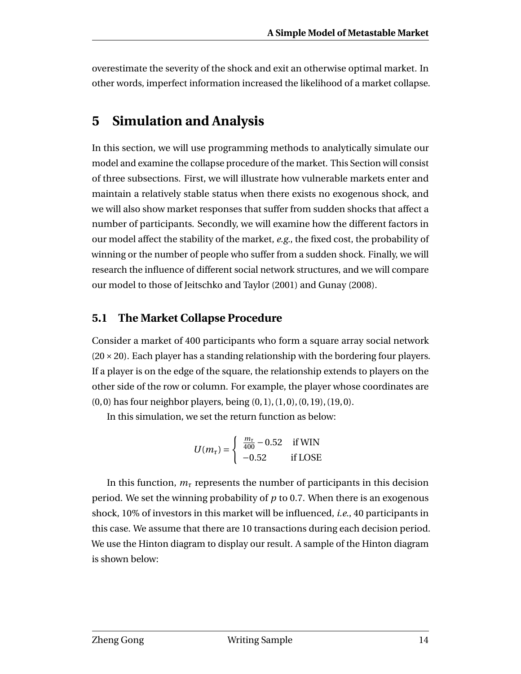overestimate the severity of the shock and exit an otherwise optimal market. In other words, imperfect information increased the likelihood of a market collapse.

## **5 Simulation and Analysis**

In this section, we will use programming methods to analytically simulate our model and examine the collapse procedure of the market. This Section will consist of three subsections. First, we will illustrate how vulnerable markets enter and maintain a relatively stable status when there exists no exogenous shock, and we will also show market responses that suffer from sudden shocks that affect a number of participants. Secondly, we will examine how the different factors in our model affect the stability of the market, *e.g.*, the fixed cost, the probability of winning or the number of people who suffer from a sudden shock. Finally, we will research the influence of different social network structures, and we will compare our model to those of Jeitschko and Taylor (2001) and Gunay (2008).

### **5.1 The Market Collapse Procedure**

Consider a market of 400 participants who form a square array social network  $(20 \times 20)$ . Each player has a standing relationship with the bordering four players. If a player is on the edge of the square, the relationship extends to players on the other side of the row or column. For example, the player whose coordinates are (0, 0) has four neighbor players, being (0, 1), (1, 0), (0,19), (19,0).

In this simulation, we set the return function as below:

$$
U(m_\tau) = \begin{cases} \frac{m_\tau}{400} - 0.52 & \text{if WIN} \\ -0.52 & \text{if LOSE} \end{cases}
$$

In this function,  $m<sub>\tau</sub>$  represents the number of participants in this decision period. We set the winning probability of *p* to 0.7. When there is an exogenous shock, 10% of investors in this market will be influenced, *i.e.*, 40 participants in this case. We assume that there are 10 transactions during each decision period. We use the Hinton diagram to display our result. A sample of the Hinton diagram is shown below: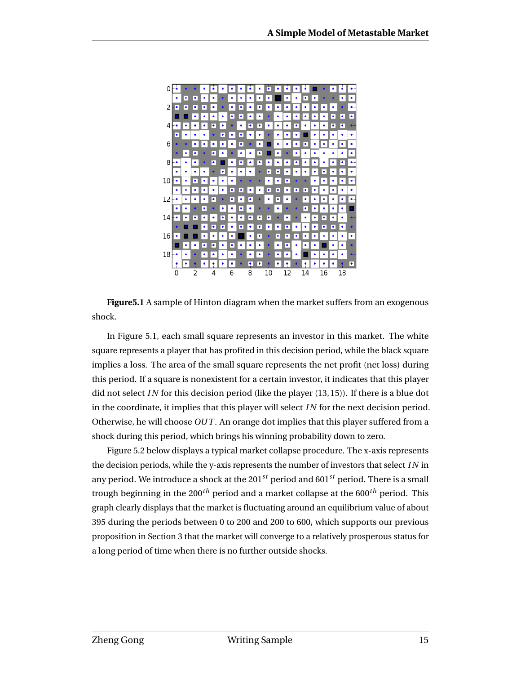

**Figure5.1** A sample of Hinton diagram when the market suffers from an exogenous shock.

In Figure 5.1, each small square represents an investor in this market. The white square represents a player that has profited in this decision period, while the black square implies a loss. The area of the small square represents the net profit (net loss) during this period. If a square is nonexistent for a certain investor, it indicates that this player did not select *I N* for this decision period (like the player (13,15)). If there is a blue dot in the coordinate, it implies that this player will select *IN* for the next decision period. Otherwise, he will choose *OUT* . An orange dot implies that this player suffered from a shock during this period, which brings his winning probability down to zero.

Figure 5.2 below displays a typical market collapse procedure. The x-axis represents the decision periods, while the y-axis represents the number of investors that select *I N* in any period. We introduce a shock at the 201*st* period and 601*st* period. There is a small trough beginning in the 200*th* period and a market collapse at the 600*th* period. This graph clearly displays that the market is fluctuating around an equilibrium value of about 395 during the periods between 0 to 200 and 200 to 600, which supports our previous proposition in Section 3 that the market will converge to a relatively prosperous status for a long period of time when there is no further outside shocks.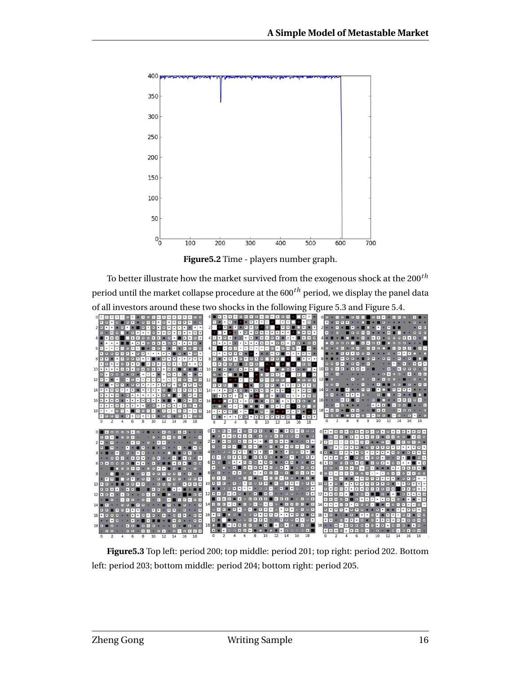

**Figure5.2** Time - players number graph.

To better illustrate how the market survived from the exogenous shock at the 200*th* period until the market collapse procedure at the 600*th* period, we display the panel data of all investors around these two shocks in the following Figure 5.3 and Figure 5.4.



**Figure5.3** Top left: period 200; top middle: period 201; top right: period 202. Bottom left: period 203; bottom middle: period 204; bottom right: period 205.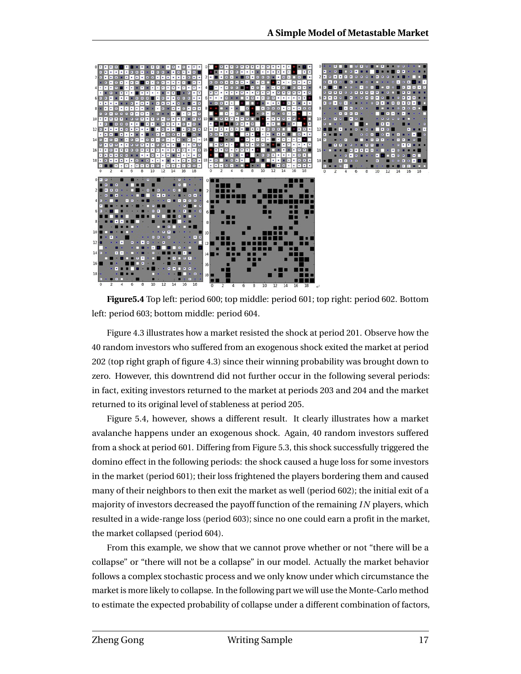

**Figure5.4** Top left: period 600; top middle: period 601; top right: period 602. Bottom left: period 603; bottom middle: period 604.

Figure 4.3 illustrates how a market resisted the shock at period 201. Observe how the 40 random investors who suffered from an exogenous shock exited the market at period 202 (top right graph of figure 4.3) since their winning probability was brought down to zero. However, this downtrend did not further occur in the following several periods: in fact, exiting investors returned to the market at periods 203 and 204 and the market returned to its original level of stableness at period 205.

Figure 5.4, however, shows a different result. It clearly illustrates how a market avalanche happens under an exogenous shock. Again, 40 random investors suffered from a shock at period 601. Differing from Figure 5.3, this shock successfully triggered the domino effect in the following periods: the shock caused a huge loss for some investors in the market (period 601); their loss frightened the players bordering them and caused many of their neighbors to then exit the market as well (period 602); the initial exit of a majority of investors decreased the payoff function of the remaining *I N* players, which resulted in a wide-range loss (period 603); since no one could earn a profit in the market, the market collapsed (period 604).

From this example, we show that we cannot prove whether or not "there will be a collapse" or "there will not be a collapse" in our model. Actually the market behavior follows a complex stochastic process and we only know under which circumstance the market is more likely to collapse. In the following part we will use the Monte-Carlo method to estimate the expected probability of collapse under a different combination of factors,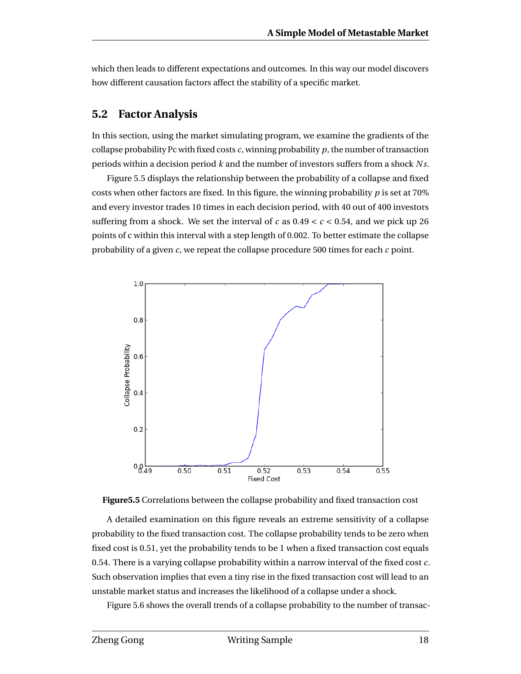which then leads to different expectations and outcomes. In this way our model discovers how different causation factors affect the stability of a specific market.

#### **5.2 Factor Analysis**

In this section, using the market simulating program, we examine the gradients of the collapse probability Pc with fixed costs  $c$ , winning probability  $p$ , the number of transaction periods within a decision period *k* and the number of investors suffers from a shock *N s*.

Figure 5.5 displays the relationship between the probability of a collapse and fixed costs when other factors are fixed. In this figure, the winning probability *p* is set at 70% and every investor trades 10 times in each decision period, with 40 out of 400 investors suffering from a shock. We set the interval of *c* as  $0.49 < c < 0.54$ , and we pick up 26 points of c within this interval with a step length of 0.002. To better estimate the collapse probability of a given *c*, we repeat the collapse procedure 500 times for each *c* point.





A detailed examination on this figure reveals an extreme sensitivity of a collapse probability to the fixed transaction cost. The collapse probability tends to be zero when fixed cost is 0.51, yet the probability tends to be 1 when a fixed transaction cost equals 0.54. There is a varying collapse probability within a narrow interval of the fixed cost *c*. Such observation implies that even a tiny rise in the fixed transaction cost will lead to an unstable market status and increases the likelihood of a collapse under a shock.

Figure 5.6 shows the overall trends of a collapse probability to the number of transac-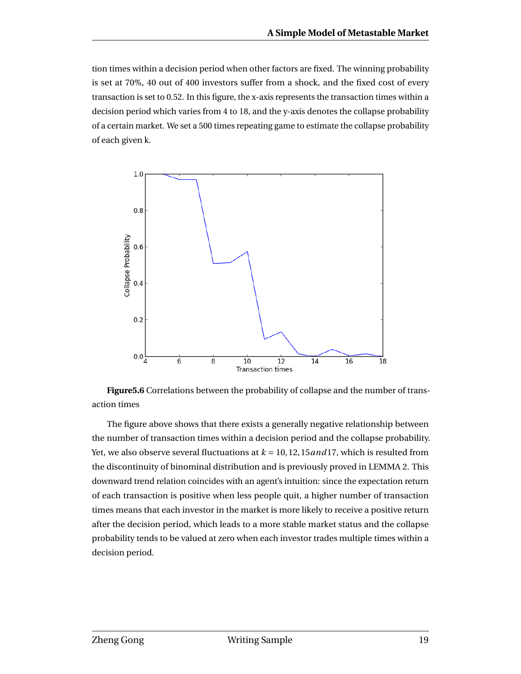tion times within a decision period when other factors are fixed. The winning probability is set at 70%, 40 out of 400 investors suffer from a shock, and the fixed cost of every transaction is set to 0.52. In this figure, the x-axis represents the transaction times within a decision period which varies from 4 to 18, and the y-axis denotes the collapse probability of a certain market. We set a 500 times repeating game to estimate the collapse probability of each given k.



**Figure5.6** Correlations between the probability of collapse and the number of transaction times

The figure above shows that there exists a generally negative relationship between the number of transaction times within a decision period and the collapse probability. Yet, we also observe several fluctuations at *k* = 10,12,15*and*17, which is resulted from the discontinuity of binominal distribution and is previously proved in LEMMA 2. This downward trend relation coincides with an agent's intuition: since the expectation return of each transaction is positive when less people quit, a higher number of transaction times means that each investor in the market is more likely to receive a positive return after the decision period, which leads to a more stable market status and the collapse probability tends to be valued at zero when each investor trades multiple times within a decision period.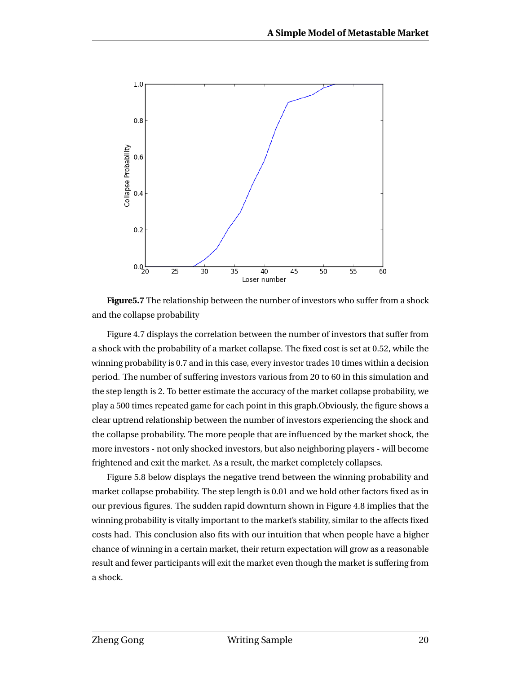

**Figure5.7** The relationship between the number of investors who suffer from a shock and the collapse probability

Figure 4.7 displays the correlation between the number of investors that suffer from a shock with the probability of a market collapse. The fixed cost is set at 0.52, while the winning probability is 0.7 and in this case, every investor trades 10 times within a decision period. The number of suffering investors various from 20 to 60 in this simulation and the step length is 2. To better estimate the accuracy of the market collapse probability, we play a 500 times repeated game for each point in this graph.Obviously, the figure shows a clear uptrend relationship between the number of investors experiencing the shock and the collapse probability. The more people that are influenced by the market shock, the more investors - not only shocked investors, but also neighboring players - will become frightened and exit the market. As a result, the market completely collapses.

Figure 5.8 below displays the negative trend between the winning probability and market collapse probability. The step length is 0.01 and we hold other factors fixed as in our previous figures. The sudden rapid downturn shown in Figure 4.8 implies that the winning probability is vitally important to the market's stability, similar to the affects fixed costs had. This conclusion also fits with our intuition that when people have a higher chance of winning in a certain market, their return expectation will grow as a reasonable result and fewer participants will exit the market even though the market is suffering from a shock.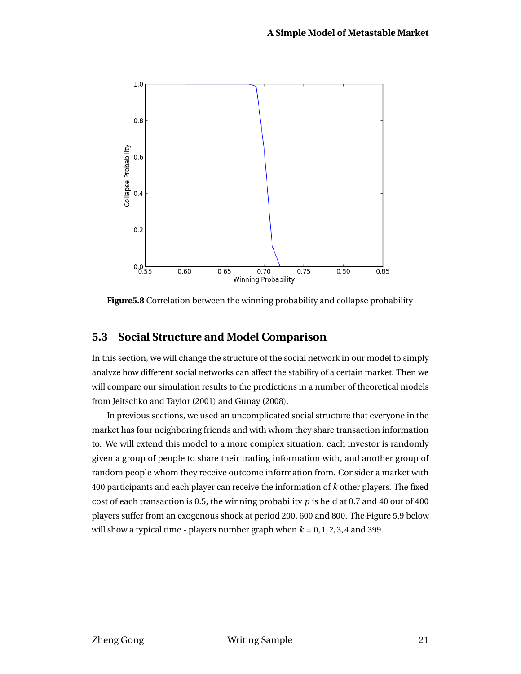

**Figure5.8** Correlation between the winning probability and collapse probability

### **5.3 Social Structure and Model Comparison**

In this section, we will change the structure of the social network in our model to simply analyze how different social networks can affect the stability of a certain market. Then we will compare our simulation results to the predictions in a number of theoretical models from Jeitschko and Taylor (2001) and Gunay (2008).

In previous sections, we used an uncomplicated social structure that everyone in the market has four neighboring friends and with whom they share transaction information to. We will extend this model to a more complex situation: each investor is randomly given a group of people to share their trading information with, and another group of random people whom they receive outcome information from. Consider a market with 400 participants and each player can receive the information of *k* other players. The fixed cost of each transaction is 0.5, the winning probability *p* is held at 0.7 and 40 out of 400 players suffer from an exogenous shock at period 200, 600 and 800. The Figure 5.9 below will show a typical time - players number graph when  $k = 0, 1, 2, 3, 4$  and 399.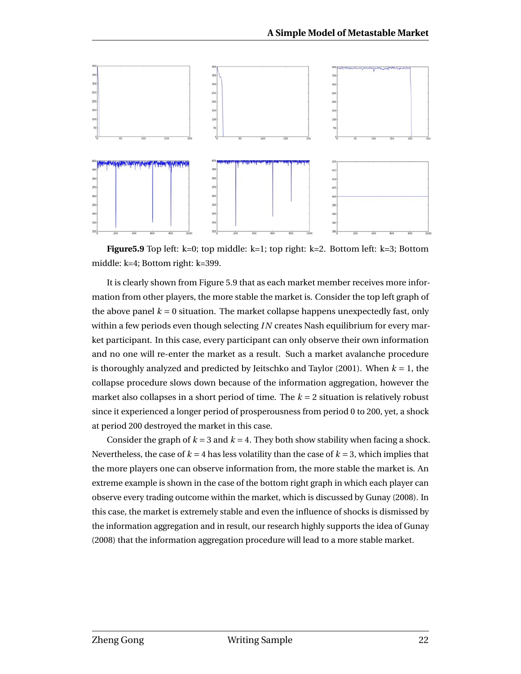

**Figure5.9** Top left: k=0; top middle: k=1; top right: k=2. Bottom left: k=3; Bottom middle: k=4; Bottom right: k=399.

It is clearly shown from Figure 5.9 that as each market member receives more information from other players, the more stable the market is. Consider the top left graph of the above panel  $k = 0$  situation. The market collapse happens unexpectedly fast, only within a few periods even though selecting *I N* creates Nash equilibrium for every market participant. In this case, every participant can only observe their own information and no one will re-enter the market as a result. Such a market avalanche procedure is thoroughly analyzed and predicted by Jeitschko and Taylor (2001). When *k* = 1, the collapse procedure slows down because of the information aggregation, however the market also collapses in a short period of time. The  $k = 2$  situation is relatively robust since it experienced a longer period of prosperousness from period 0 to 200, yet, a shock at period 200 destroyed the market in this case.

Consider the graph of  $k = 3$  and  $k = 4$ . They both show stability when facing a shock. Nevertheless, the case of  $k = 4$  has less volatility than the case of  $k = 3$ , which implies that the more players one can observe information from, the more stable the market is. An extreme example is shown in the case of the bottom right graph in which each player can observe every trading outcome within the market, which is discussed by Gunay (2008). In this case, the market is extremely stable and even the influence of shocks is dismissed by the information aggregation and in result, our research highly supports the idea of Gunay (2008) that the information aggregation procedure will lead to a more stable market.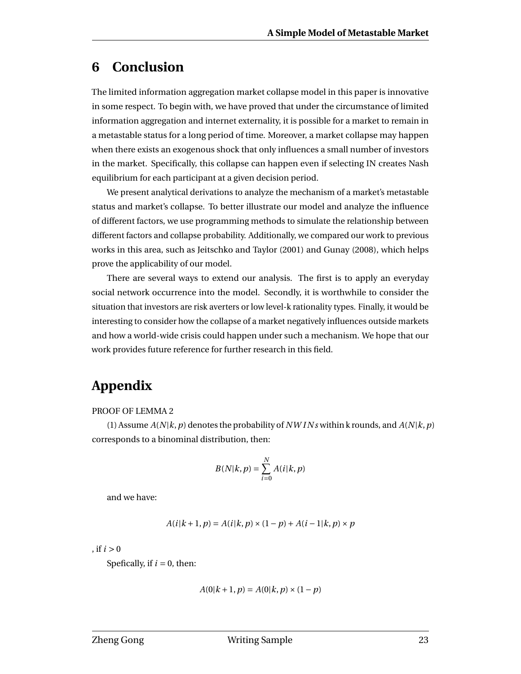## **6 Conclusion**

The limited information aggregation market collapse model in this paper is innovative in some respect. To begin with, we have proved that under the circumstance of limited information aggregation and internet externality, it is possible for a market to remain in a metastable status for a long period of time. Moreover, a market collapse may happen when there exists an exogenous shock that only influences a small number of investors in the market. Specifically, this collapse can happen even if selecting IN creates Nash equilibrium for each participant at a given decision period.

We present analytical derivations to analyze the mechanism of a market's metastable status and market's collapse. To better illustrate our model and analyze the influence of different factors, we use programming methods to simulate the relationship between different factors and collapse probability. Additionally, we compared our work to previous works in this area, such as Jeitschko and Taylor (2001) and Gunay (2008), which helps prove the applicability of our model.

There are several ways to extend our analysis. The first is to apply an everyday social network occurrence into the model. Secondly, it is worthwhile to consider the situation that investors are risk averters or low level-k rationality types. Finally, it would be interesting to consider how the collapse of a market negatively influences outside markets and how a world-wide crisis could happen under such a mechanism. We hope that our work provides future reference for further research in this field.

# **Appendix**

#### PROOF OF LEMMA 2

(1) Assume  $A(N|k, p)$  denotes the probability of *NW INs* within k rounds, and  $A(N|k, p)$ corresponds to a binominal distribution, then:

$$
B(N|k, p) = \sum_{i=0}^{N} A(i|k, p)
$$

and we have:

$$
A(i|k + 1, p) = A(i|k, p) \times (1 - p) + A(i - 1|k, p) \times p
$$

, if  $i > 0$ 

Spefically, if  $i = 0$ , then:

$$
A(0|k+1, p) = A(0|k, p) \times (1-p)
$$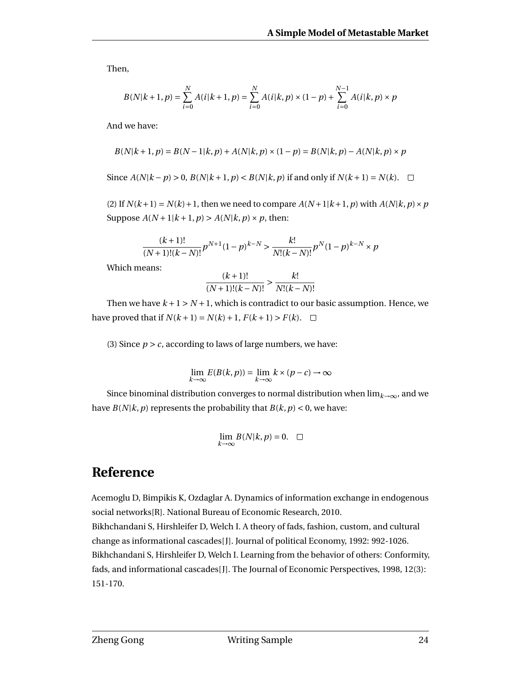Then,

$$
B(N|k+1, p) = \sum_{i=0}^{N} A(i|k+1, p) = \sum_{i=0}^{N} A(i|k, p) \times (1-p) + \sum_{i=0}^{N-1} A(i|k, p) \times p
$$

And we have:

$$
B(N|k+1, p) = B(N-1|k, p) + A(N|k, p) \times (1-p) = B(N|k, p) - A(N|k, p) \times p
$$

Since *A*(*N*| $k - p$ ) > 0, *B*(*N*| $k + 1, p$ ) < *B*(*N*| $k, p$ ) if and only if *N*( $k + 1$ ) = *N*( $k$ ). □

(2) If  $N(k+1) = N(k) + 1$ , then we need to compare  $A(N+1|k+1, p)$  with  $A(N|k, p) \times p$ Suppose  $A(N+1|k+1, p) > A(N|k, p) \times p$ , then:

$$
\frac{(k+1)!}{(N+1)!(k-N)!}p^{N+1}(1-p)^{k-N} > \frac{k!}{N!(k-N)!}p^N(1-p)^{k-N} \times p
$$

Which means:

$$
\frac{(k+1)!}{(N+1)!(k-N)!} > \frac{k!}{N!(k-N)!}
$$

Then we have  $k+1 > N+1$ , which is contradict to our basic assumption. Hence, we have proved that if  $N(k+1) = N(k) + 1$ ,  $F(k+1) > F(k)$ .  $\Box$ 

(3) Since  $p > c$ , according to laws of large numbers, we have:

$$
\lim_{k\to\infty}E(B(k,p))=\lim_{k\to\infty}k\times(p-c)\to\infty
$$

Since binominal distribution converges to normal distribution when  $\lim_{k\to\infty}$ , and we have  $B(N|k, p)$  represents the probability that  $B(k, p) < 0$ , we have:

$$
\lim_{k\to\infty}B(N|k,p)=0.\quad \Box
$$

### **Reference**

Acemoglu D, Bimpikis K, Ozdaglar A. Dynamics of information exchange in endogenous social networks[R]. National Bureau of Economic Research, 2010.

Bikhchandani S, Hirshleifer D, Welch I. A theory of fads, fashion, custom, and cultural change as informational cascades[J]. Journal of political Economy, 1992: 992-1026. Bikhchandani S, Hirshleifer D, Welch I. Learning from the behavior of others: Conformity, fads, and informational cascades[J]. The Journal of Economic Perspectives, 1998, 12(3): 151-170.